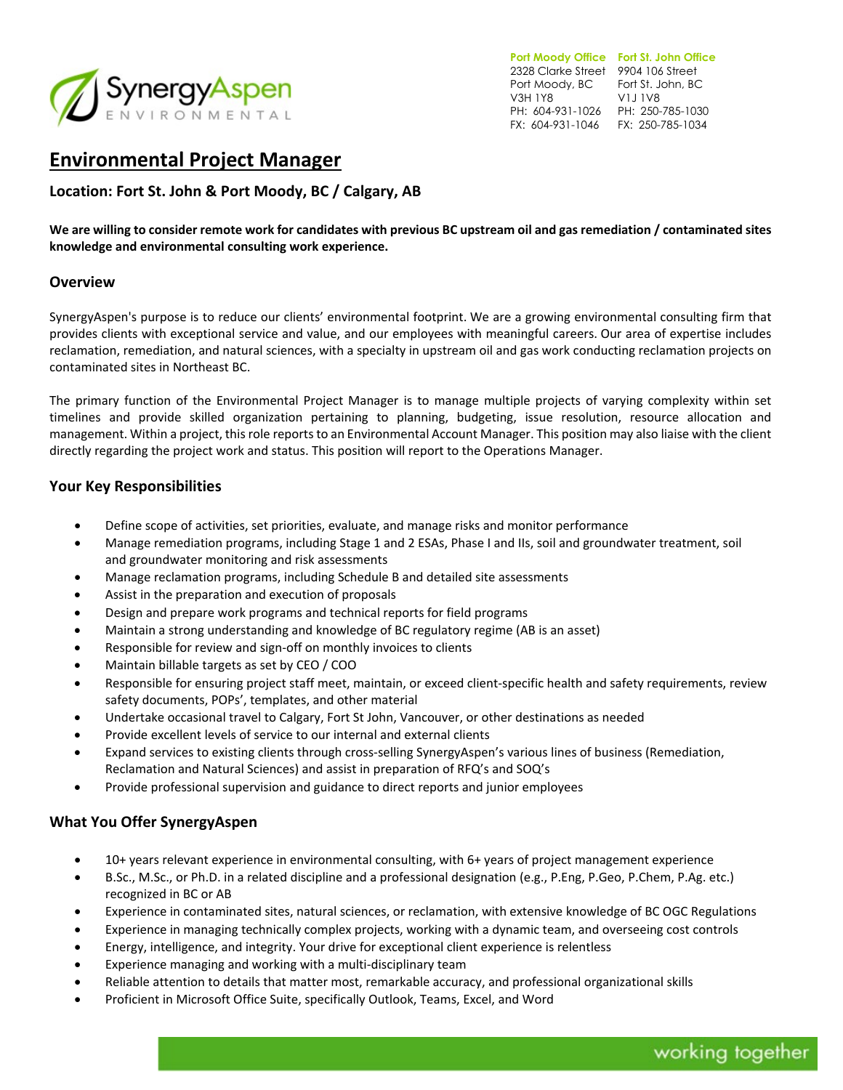

**Port Moody Office Fort St. John Office**  2328 Clarke Street 9904 106 Street Port Moody, BC Fort St. John, BC V3H 1Y8 PH: 604-931-1026 PH: 250-785-1030 FX: 604-931-1046 FX: 250-785-1034 V1J 1V8

# **Environmental Project Manager**

**Location: Fort St. John & Port Moody, BC / Calgary, AB**

**We are willing to consider remote work for candidates with previous BC upstream oil and gas remediation / contaminated sites knowledge and environmental consulting work experience.**

# **Overview**

SynergyAspen's purpose is to reduce our clients' environmental footprint. We are a growing environmental consulting firm that provides clients with exceptional service and value, and our employees with meaningful careers. Our area of expertise includes reclamation, remediation, and natural sciences, with a specialty in upstream oil and gas work conducting reclamation projects on contaminated sites in Northeast BC.

The primary function of the Environmental Project Manager is to manage multiple projects of varying complexity within set timelines and provide skilled organization pertaining to planning, budgeting, issue resolution, resource allocation and management. Within a project, this role reports to an Environmental Account Manager. This position may also liaise with the client directly regarding the project work and status. This position will report to the Operations Manager.

# **Your Key Responsibilities**

- Define scope of activities, set priorities, evaluate, and manage risks and monitor performance
- Manage remediation programs, including Stage 1 and 2 ESAs, Phase I and IIs, soil and groundwater treatment, soil and groundwater monitoring and risk assessments
- Manage reclamation programs, including Schedule B and detailed site assessments
- Assist in the preparation and execution of proposals
- Design and prepare work programs and technical reports for field programs
- Maintain a strong understanding and knowledge of BC regulatory regime (AB is an asset)
- Responsible for review and sign-off on monthly invoices to clients
- Maintain billable targets as set by CEO / COO
- Responsible for ensuring project staff meet, maintain, or exceed client-specific health and safety requirements, review safety documents, POPs', templates, and other material
- Undertake occasional travel to Calgary, Fort St John, Vancouver, or other destinations as needed
- Provide excellent levels of service to our internal and external clients
- Expand services to existing clients through cross-selling SynergyAspen's various lines of business (Remediation, Reclamation and Natural Sciences) and assist in preparation of RFQ's and SOQ's
- Provide professional supervision and guidance to direct reports and junior employees

### **What You Offer SynergyAspen**

- 10+ years relevant experience in environmental consulting, with 6+ years of project management experience
- B.Sc., M.Sc., or Ph.D. in a related discipline and a professional designation (e.g., P.Eng, P.Geo, P.Chem, P.Ag. etc.) recognized in BC or AB
- Experience in contaminated sites, natural sciences, or reclamation, with extensive knowledge of BC OGC Regulations
- Experience in managing technically complex projects, working with a dynamic team, and overseeing cost controls
- Energy, intelligence, and integrity. Your drive for exceptional client experience is relentless
- Experience managing and working with a multi-disciplinary team
- Reliable attention to details that matter most, remarkable accuracy, and professional organizational skills
- Proficient in Microsoft Office Suite, specifically Outlook, Teams, Excel, and Word